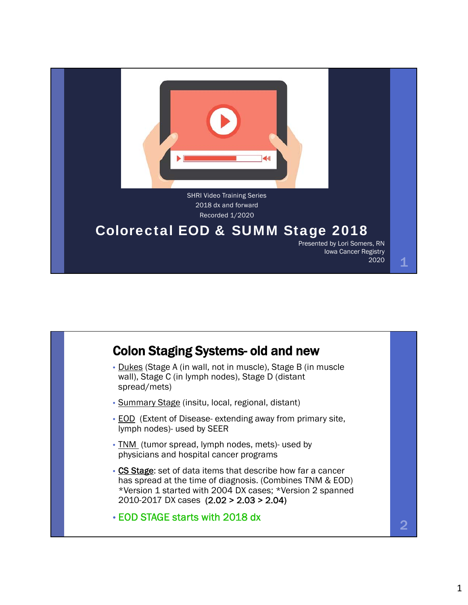

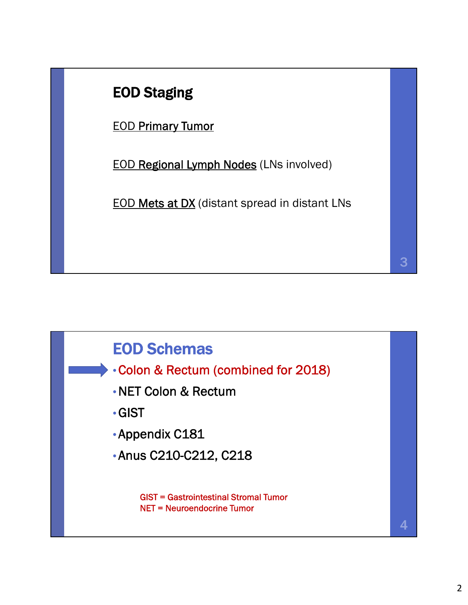## EOD Staging

EOD Primary Tumor

EOD Regional Lymph Nodes (LNs involved)

EOD Mets at DX (distant spread in distant LNs



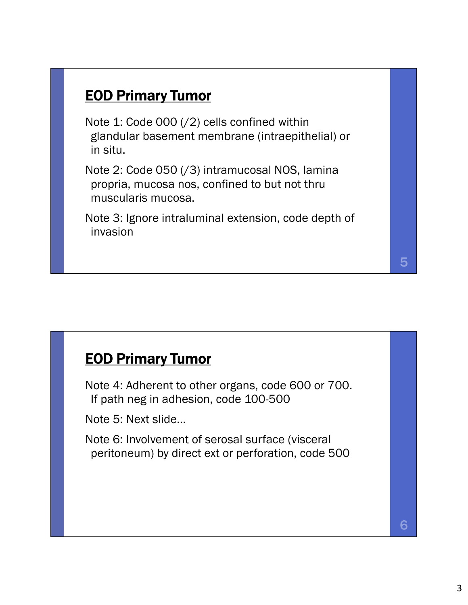#### EOD Primary Tumor

Note 1: Code 000 (/2) cells confined within glandular basement membrane (intraepithelial) or in situ.

Note 2: Code 050 (/3) intramucosal NOS, lamina propria, mucosa nos, confined to but not thru muscularis mucosa.

Note 3: Ignore intraluminal extension, code depth of invasion

#### EOD Primary Tumor

Note 4: Adherent to other organs, code 600 or 700. If path neg in adhesion, code 100-500

Note 5: Next slide…

Note 6: Involvement of serosal surface (visceral peritoneum) by direct ext or perforation, code 500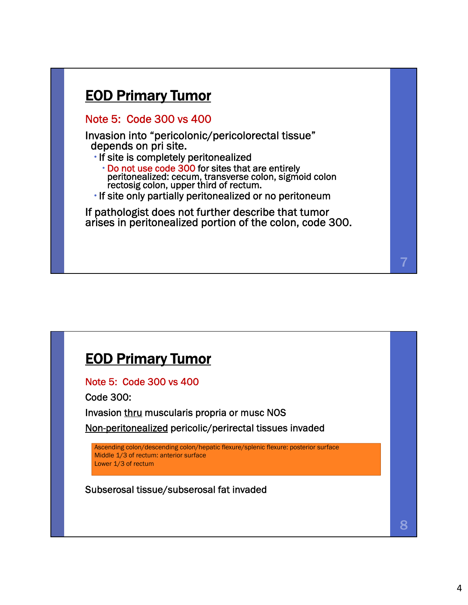#### EOD Primary Tumor

Note 5: Code 300 vs 400

Invasion into "pericolonic/pericolorectal tissue" depends on pri site.

If site is completely peritonealized<br>Do not use code 300 for sites that are entirely peritonealized: cecum, transverse colon, sigmoid colon<br>rectosig colon, upper third of rectum.

If site only partially peritonealized or no peritoneum

If pathologist does not further describe that tumor arises in peritonealized portion of the colon, code 300.

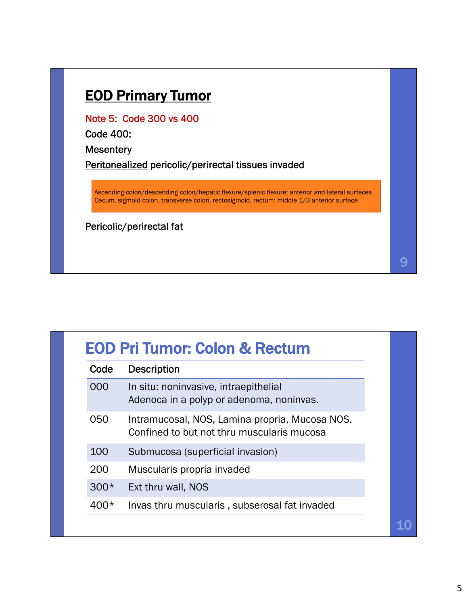#### EOD Primary Tumor

Note 5: Code 300 vs 400

Code 400:

**Mesentery** 

Peritonealized pericolic/perirectal tissues invaded

Ascending colon/descending colon/hepatic flexure/splenic flexure: anterior and lateral surfaces Cecum, sigmoid colon, transverse colon, rectosigmoid, rectum: middle 1/3 anterior surface

Pericolic/perirectal fat

| Code   | <b>Description</b>                                                                           |
|--------|----------------------------------------------------------------------------------------------|
| 000    | In situ: noninvasive, intraepithelial<br>Adenoca in a polyp or adenoma, noninvas.            |
| 050    | Intramucosal, NOS, Lamina propria, Mucosa NOS.<br>Confined to but not thru muscularis mucosa |
| 100    | Submucosa (superficial invasion)                                                             |
| 200    | Muscularis propria invaded                                                                   |
| $300*$ | Ext thru wall, NOS                                                                           |
| 400*   | Invas thru muscularis, subserosal fat invaded                                                |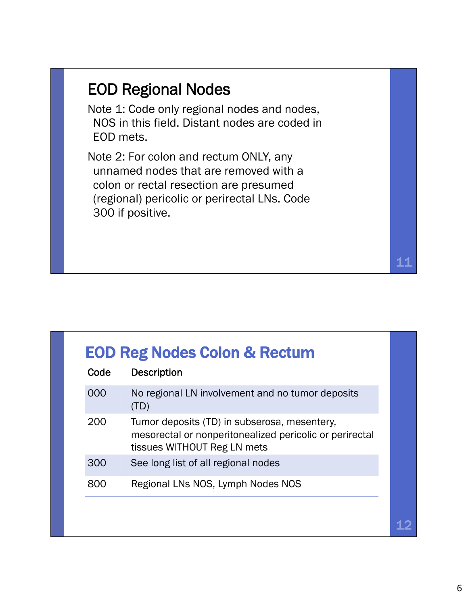## EOD Regional Nodes

Note 1: Code only regional nodes and nodes, NOS in this field. Distant nodes are coded in EOD mets.

Note 2: For colon and rectum ONLY, any unnamed nodes that are removed with a colon or rectal resection are presumed (regional) pericolic or perirectal LNs. Code 300 if positive.

| Code | <b>Description</b>                                                                                                                     |
|------|----------------------------------------------------------------------------------------------------------------------------------------|
| 000  | No regional LN involvement and no tumor deposits<br>(TD)                                                                               |
| 200  | Tumor deposits (TD) in subserosa, mesentery,<br>mesorectal or nonperitonealized pericolic or perirectal<br>tissues WITHOUT Reg LN mets |
| 300  | See long list of all regional nodes                                                                                                    |
| 800  | Regional LNs NOS, Lymph Nodes NOS                                                                                                      |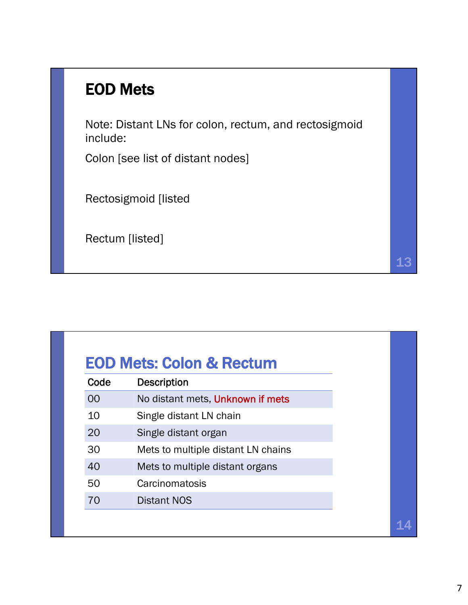## EOD Mets

Note: Distant LNs for colon, rectum, and rectosigmoid include:

Colon [see list of distant nodes]

Rectosigmoid [listed

Rectum [listed]

| Code | <b>Description</b>                 |  |
|------|------------------------------------|--|
| 00   | No distant mets, Unknown if mets   |  |
| 10   | Single distant LN chain            |  |
| 20   | Single distant organ               |  |
| 30   | Mets to multiple distant LN chains |  |
| 40   | Mets to multiple distant organs    |  |
| 50   | Carcinomatosis                     |  |
| 70   | <b>Distant NOS</b>                 |  |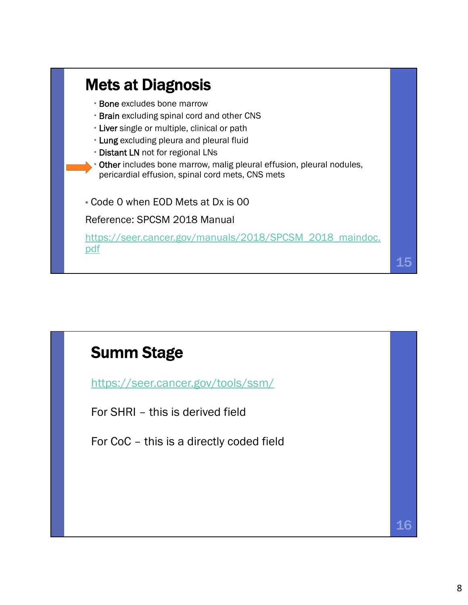

### Summ Stage

https://seer.cancer.gov/tools/ssm/

For SHRI – this is derived field

For CoC – this is a directly coded field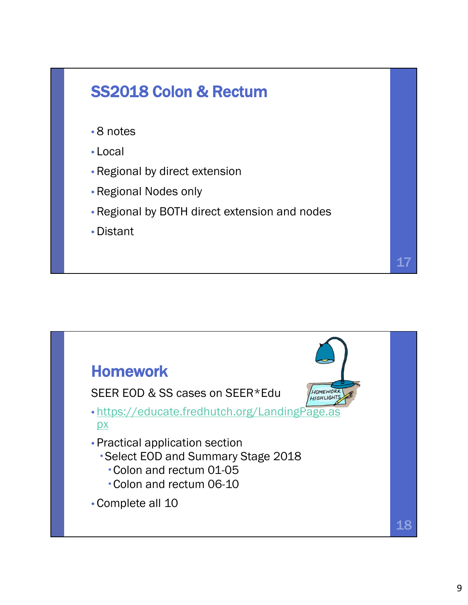